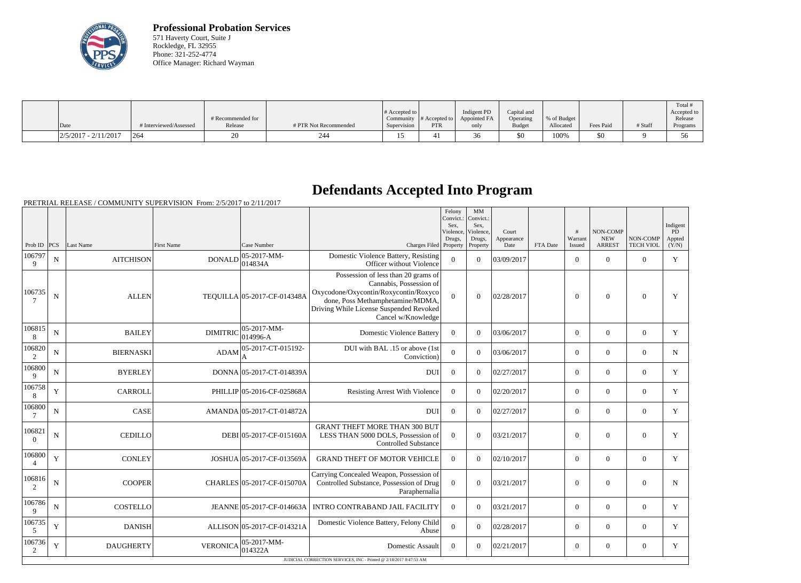

**Professional Probation Services** 571 Haverty Court, Suite J Rockledge, FL 32955 Phone: 321-252-4774 Office Manager: Richard Wayman

| Date                   | # Interviewed/Assessed | # Recommended for<br>Release | # PTR Not Recommended | # Accepted to<br>Supervision | Community $\#$ Accepted to<br>PTR | Indigent PD<br>Appointed FA<br>only | Capital and<br>Operating<br><b>Budget</b> | % of Budget<br>Allocated | Fees Paid | # Staff | Total<br>Accepted to<br>Release<br>Programs |
|------------------------|------------------------|------------------------------|-----------------------|------------------------------|-----------------------------------|-------------------------------------|-------------------------------------------|--------------------------|-----------|---------|---------------------------------------------|
| $2/5/2017 - 2/11/2017$ | 1264                   |                              | 244                   |                              |                                   | $\sim$<br>JU                        | \$0                                       | 100%                     | \$0       |         |                                             |

## **Defendants Accepted Into Program**

| Warrant<br><b>NEW</b><br>Drugs,<br>Drugs,<br>Appearance<br>Appted<br> PCS <br>Last Name<br>Case Number<br>Charges Filed Property<br><b>ARREST</b><br><b>TECH VIOL</b><br>(Y/N)<br>Prob ID<br>First Name<br>Property<br>Date<br>FTA Date<br><b>Issued</b><br>$ 05-2017-MM-$<br>Domestic Violence Battery, Resisting<br>106797<br>$\overline{0}$<br>Y<br><b>AITCHISON</b><br><b>DONALD</b><br>03/09/2017<br>$\overline{0}$<br>$\theta$<br>N<br>$\Omega$<br>$\overline{0}$<br>014834A<br>Officer without Violence<br>9<br>Possession of less than 20 grams of<br>Cannabis, Possession of<br>Oxycodone/Oxycontin/Roxycontin/Roxyco<br>106735<br>$\Omega$<br>$\mathbf N$<br><b>ALLEN</b><br>TEQUILLA 05-2017-CF-014348A<br>$\theta$<br>02/28/2017<br>$\boldsymbol{0}$<br>$\boldsymbol{0}$<br>$\overline{0}$<br>Y<br>done, Poss Methamphetamine/MDMA,<br>Driving While License Suspended Revoked<br>Cancel w/Knowledge<br>106815<br>$ 05-2017-MM-$<br><b>DIMITRIC</b><br>$\mathbf N$<br><b>BAILEY</b><br>$\theta$<br>$\Omega$<br>$\overline{0}$<br>$\theta$<br>Y<br><b>Domestic Violence Battery</b><br>03/06/2017<br>$\overline{0}$<br>$ 014996-A$<br>8<br>05-2017-CT-015192-<br>106820<br>DUI with BAL .15 or above (1st<br><b>ADAM</b><br>$\mathbf{0}$<br>$\mathbf N$<br><b>BIERNASKI</b><br>$\overline{0}$<br>03/06/2017<br>$\overline{0}$<br>$\overline{0}$<br>$\overline{0}$<br>N<br>$\overline{2}$<br>Conviction)<br>А<br>106800<br><b>BYERLEY</b><br>DONNA 05-2017-CT-014839A<br>$\Omega$<br>02/27/2017<br>$\overline{0}$<br>$\overline{0}$<br>N<br>DUI<br>$\overline{0}$<br>$\overline{0}$<br>Y<br>9<br>106758<br>Y<br>$\overline{0}$<br>$\mathbf Y$<br><b>CARROLL</b><br>PHILLIP 05-2016-CF-025868A<br>$\theta$<br>$\Omega$<br>02/20/2017<br>$\theta$<br>$\overline{0}$<br><b>Resisting Arrest With Violence</b><br>8<br>106800<br>CASE<br>$\mathbf{0}$<br>$\mathbf{0}$<br>Y<br>$\mathbf N$<br>AMANDA 05-2017-CT-014872A<br><b>DUI</b><br>$\Omega$<br>02/27/2017<br>$\overline{0}$<br>$\overline{0}$<br><b>GRANT THEFT MORE THAN 300 BUT</b><br>106821<br>$\mathbf N$<br><b>CEDILLO</b><br>DEBI 05-2017-CF-015160A<br>LESS THAN 5000 DOLS, Possession of<br>$\Omega$<br>$\theta$<br>03/21/2017<br>$\overline{0}$<br>$\overline{0}$<br>$\overline{0}$<br>Y<br>$\overline{0}$<br><b>Controlled Substance</b><br>106800<br>$\mathbf Y$<br><b>CONLEY</b><br>$\overline{0}$<br>$\overline{0}$<br>02/10/2017<br>$\overline{0}$<br>$\mathbf{0}$<br>$\overline{0}$<br>$\mathbf Y$<br>JOSHUA 05-2017-CF-013569A<br><b>GRAND THEFT OF MOTOR VEHICLE</b><br>$\overline{4}$<br>Carrying Concealed Weapon, Possession of<br>106816<br>$\mathbf N$<br>Controlled Substance, Possession of Drug<br>$\overline{0}$<br><b>COOPER</b><br>CHARLES 05-2017-CF-015070A<br>$\theta$<br>03/21/2017<br>$\overline{0}$<br>$\overline{0}$<br>$\Omega$<br>N<br>2<br>Paraphernalia<br>106786<br>${\bf N}$<br><b>COSTELLO</b><br>JEANNE 05-2017-CF-014663A   INTRO CONTRABAND JAIL FACILITY<br>$\overline{0}$<br>03/21/2017<br>$\mathbf{0}$<br>$\overline{0}$<br>$\overline{0}$<br>$\overline{0}$<br>Y<br>9<br>106735<br>Domestic Violence Battery, Felony Child<br>Y<br>ALLISON 05-2017-CF-014321A<br>$\Omega$<br><b>DANISH</b><br>$\Omega$<br>02/28/2017<br>$\theta$<br>Y<br>$\overline{0}$<br>$\overline{0}$<br>5<br>Abuse<br>106736<br>$ 05-2017-MM-$<br>Y<br><b>DAUGHERTY</b><br><b>VERONICA</b><br>Domestic Assault<br>$\boldsymbol{0}$<br>$\Omega$<br>02/21/2017<br>$\overline{0}$<br>$\overline{0}$<br>$\overline{0}$<br>Y<br>014322A<br>2<br>JUDICIAL CORRECTION SERVICES, INC - Printed @ 2/18/2017 8:47:53 AM |  |  |  | Felony<br>Convict.:<br>Sex,<br>Violence, | <b>MM</b><br>Convict.:<br>Sex,<br>Violence, | Court | # | NON-COMP |          | Indigent<br>PD |
|-------------------------------------------------------------------------------------------------------------------------------------------------------------------------------------------------------------------------------------------------------------------------------------------------------------------------------------------------------------------------------------------------------------------------------------------------------------------------------------------------------------------------------------------------------------------------------------------------------------------------------------------------------------------------------------------------------------------------------------------------------------------------------------------------------------------------------------------------------------------------------------------------------------------------------------------------------------------------------------------------------------------------------------------------------------------------------------------------------------------------------------------------------------------------------------------------------------------------------------------------------------------------------------------------------------------------------------------------------------------------------------------------------------------------------------------------------------------------------------------------------------------------------------------------------------------------------------------------------------------------------------------------------------------------------------------------------------------------------------------------------------------------------------------------------------------------------------------------------------------------------------------------------------------------------------------------------------------------------------------------------------------------------------------------------------------------------------------------------------------------------------------------------------------------------------------------------------------------------------------------------------------------------------------------------------------------------------------------------------------------------------------------------------------------------------------------------------------------------------------------------------------------------------------------------------------------------------------------------------------------------------------------------------------------------------------------------------------------------------------------------------------------------------------------------------------------------------------------------------------------------------------------------------------------------------------------------------------------------------------------------------------------------------------------------------------------------------------------------------------------------------------------------------------------------------------------------------------------------------------------------------------------------------------------------------------------------------------------------------------------------------------------------------------------------------------------------------------------------------------------------------------------------------------------------------------------------------------------|--|--|--|------------------------------------------|---------------------------------------------|-------|---|----------|----------|----------------|
|                                                                                                                                                                                                                                                                                                                                                                                                                                                                                                                                                                                                                                                                                                                                                                                                                                                                                                                                                                                                                                                                                                                                                                                                                                                                                                                                                                                                                                                                                                                                                                                                                                                                                                                                                                                                                                                                                                                                                                                                                                                                                                                                                                                                                                                                                                                                                                                                                                                                                                                                                                                                                                                                                                                                                                                                                                                                                                                                                                                                                                                                                                                                                                                                                                                                                                                                                                                                                                                                                                                                                                                                 |  |  |  |                                          |                                             |       |   |          | NON-COMP |                |
|                                                                                                                                                                                                                                                                                                                                                                                                                                                                                                                                                                                                                                                                                                                                                                                                                                                                                                                                                                                                                                                                                                                                                                                                                                                                                                                                                                                                                                                                                                                                                                                                                                                                                                                                                                                                                                                                                                                                                                                                                                                                                                                                                                                                                                                                                                                                                                                                                                                                                                                                                                                                                                                                                                                                                                                                                                                                                                                                                                                                                                                                                                                                                                                                                                                                                                                                                                                                                                                                                                                                                                                                 |  |  |  |                                          |                                             |       |   |          |          |                |
|                                                                                                                                                                                                                                                                                                                                                                                                                                                                                                                                                                                                                                                                                                                                                                                                                                                                                                                                                                                                                                                                                                                                                                                                                                                                                                                                                                                                                                                                                                                                                                                                                                                                                                                                                                                                                                                                                                                                                                                                                                                                                                                                                                                                                                                                                                                                                                                                                                                                                                                                                                                                                                                                                                                                                                                                                                                                                                                                                                                                                                                                                                                                                                                                                                                                                                                                                                                                                                                                                                                                                                                                 |  |  |  |                                          |                                             |       |   |          |          |                |
|                                                                                                                                                                                                                                                                                                                                                                                                                                                                                                                                                                                                                                                                                                                                                                                                                                                                                                                                                                                                                                                                                                                                                                                                                                                                                                                                                                                                                                                                                                                                                                                                                                                                                                                                                                                                                                                                                                                                                                                                                                                                                                                                                                                                                                                                                                                                                                                                                                                                                                                                                                                                                                                                                                                                                                                                                                                                                                                                                                                                                                                                                                                                                                                                                                                                                                                                                                                                                                                                                                                                                                                                 |  |  |  |                                          |                                             |       |   |          |          |                |
|                                                                                                                                                                                                                                                                                                                                                                                                                                                                                                                                                                                                                                                                                                                                                                                                                                                                                                                                                                                                                                                                                                                                                                                                                                                                                                                                                                                                                                                                                                                                                                                                                                                                                                                                                                                                                                                                                                                                                                                                                                                                                                                                                                                                                                                                                                                                                                                                                                                                                                                                                                                                                                                                                                                                                                                                                                                                                                                                                                                                                                                                                                                                                                                                                                                                                                                                                                                                                                                                                                                                                                                                 |  |  |  |                                          |                                             |       |   |          |          |                |
|                                                                                                                                                                                                                                                                                                                                                                                                                                                                                                                                                                                                                                                                                                                                                                                                                                                                                                                                                                                                                                                                                                                                                                                                                                                                                                                                                                                                                                                                                                                                                                                                                                                                                                                                                                                                                                                                                                                                                                                                                                                                                                                                                                                                                                                                                                                                                                                                                                                                                                                                                                                                                                                                                                                                                                                                                                                                                                                                                                                                                                                                                                                                                                                                                                                                                                                                                                                                                                                                                                                                                                                                 |  |  |  |                                          |                                             |       |   |          |          |                |
|                                                                                                                                                                                                                                                                                                                                                                                                                                                                                                                                                                                                                                                                                                                                                                                                                                                                                                                                                                                                                                                                                                                                                                                                                                                                                                                                                                                                                                                                                                                                                                                                                                                                                                                                                                                                                                                                                                                                                                                                                                                                                                                                                                                                                                                                                                                                                                                                                                                                                                                                                                                                                                                                                                                                                                                                                                                                                                                                                                                                                                                                                                                                                                                                                                                                                                                                                                                                                                                                                                                                                                                                 |  |  |  |                                          |                                             |       |   |          |          |                |
|                                                                                                                                                                                                                                                                                                                                                                                                                                                                                                                                                                                                                                                                                                                                                                                                                                                                                                                                                                                                                                                                                                                                                                                                                                                                                                                                                                                                                                                                                                                                                                                                                                                                                                                                                                                                                                                                                                                                                                                                                                                                                                                                                                                                                                                                                                                                                                                                                                                                                                                                                                                                                                                                                                                                                                                                                                                                                                                                                                                                                                                                                                                                                                                                                                                                                                                                                                                                                                                                                                                                                                                                 |  |  |  |                                          |                                             |       |   |          |          |                |
|                                                                                                                                                                                                                                                                                                                                                                                                                                                                                                                                                                                                                                                                                                                                                                                                                                                                                                                                                                                                                                                                                                                                                                                                                                                                                                                                                                                                                                                                                                                                                                                                                                                                                                                                                                                                                                                                                                                                                                                                                                                                                                                                                                                                                                                                                                                                                                                                                                                                                                                                                                                                                                                                                                                                                                                                                                                                                                                                                                                                                                                                                                                                                                                                                                                                                                                                                                                                                                                                                                                                                                                                 |  |  |  |                                          |                                             |       |   |          |          |                |
|                                                                                                                                                                                                                                                                                                                                                                                                                                                                                                                                                                                                                                                                                                                                                                                                                                                                                                                                                                                                                                                                                                                                                                                                                                                                                                                                                                                                                                                                                                                                                                                                                                                                                                                                                                                                                                                                                                                                                                                                                                                                                                                                                                                                                                                                                                                                                                                                                                                                                                                                                                                                                                                                                                                                                                                                                                                                                                                                                                                                                                                                                                                                                                                                                                                                                                                                                                                                                                                                                                                                                                                                 |  |  |  |                                          |                                             |       |   |          |          |                |
|                                                                                                                                                                                                                                                                                                                                                                                                                                                                                                                                                                                                                                                                                                                                                                                                                                                                                                                                                                                                                                                                                                                                                                                                                                                                                                                                                                                                                                                                                                                                                                                                                                                                                                                                                                                                                                                                                                                                                                                                                                                                                                                                                                                                                                                                                                                                                                                                                                                                                                                                                                                                                                                                                                                                                                                                                                                                                                                                                                                                                                                                                                                                                                                                                                                                                                                                                                                                                                                                                                                                                                                                 |  |  |  |                                          |                                             |       |   |          |          |                |
|                                                                                                                                                                                                                                                                                                                                                                                                                                                                                                                                                                                                                                                                                                                                                                                                                                                                                                                                                                                                                                                                                                                                                                                                                                                                                                                                                                                                                                                                                                                                                                                                                                                                                                                                                                                                                                                                                                                                                                                                                                                                                                                                                                                                                                                                                                                                                                                                                                                                                                                                                                                                                                                                                                                                                                                                                                                                                                                                                                                                                                                                                                                                                                                                                                                                                                                                                                                                                                                                                                                                                                                                 |  |  |  |                                          |                                             |       |   |          |          |                |
|                                                                                                                                                                                                                                                                                                                                                                                                                                                                                                                                                                                                                                                                                                                                                                                                                                                                                                                                                                                                                                                                                                                                                                                                                                                                                                                                                                                                                                                                                                                                                                                                                                                                                                                                                                                                                                                                                                                                                                                                                                                                                                                                                                                                                                                                                                                                                                                                                                                                                                                                                                                                                                                                                                                                                                                                                                                                                                                                                                                                                                                                                                                                                                                                                                                                                                                                                                                                                                                                                                                                                                                                 |  |  |  |                                          |                                             |       |   |          |          |                |
|                                                                                                                                                                                                                                                                                                                                                                                                                                                                                                                                                                                                                                                                                                                                                                                                                                                                                                                                                                                                                                                                                                                                                                                                                                                                                                                                                                                                                                                                                                                                                                                                                                                                                                                                                                                                                                                                                                                                                                                                                                                                                                                                                                                                                                                                                                                                                                                                                                                                                                                                                                                                                                                                                                                                                                                                                                                                                                                                                                                                                                                                                                                                                                                                                                                                                                                                                                                                                                                                                                                                                                                                 |  |  |  |                                          |                                             |       |   |          |          |                |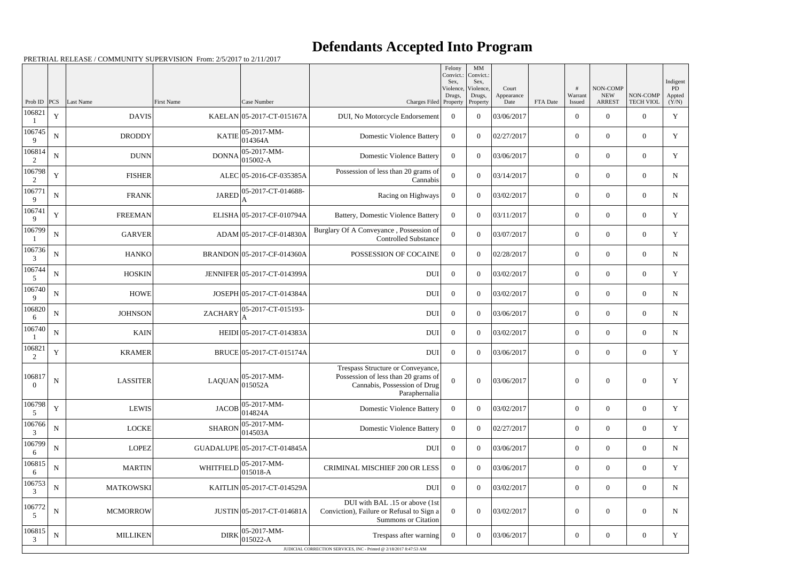## **Defendants Accepted Into Program**

|                          |             |                  |                   |                               |                                                                                                                           | Felony<br>Convict.:<br>Sex,<br>Violence,<br>Drugs, | MM<br>Convict.:<br>Sex,<br>Violence,<br>Drugs, | Court<br>Appearance |          | #<br>Warrant     | NON-COMP<br><b>NEW</b> | NON-COMP         | Indigent<br>PD<br>Appted |
|--------------------------|-------------|------------------|-------------------|-------------------------------|---------------------------------------------------------------------------------------------------------------------------|----------------------------------------------------|------------------------------------------------|---------------------|----------|------------------|------------------------|------------------|--------------------------|
| Prob ID $ PCS $          |             | Last Name        | <b>First Name</b> | Case Number                   | Charges Filed Property                                                                                                    |                                                    | Property                                       | Date                | FTA Date | Issued           | <b>ARREST</b>          | <b>TECH VIOL</b> | (Y/N)                    |
| 106821                   | $\mathbf Y$ | <b>DAVIS</b>     |                   | KAELAN 05-2017-CT-015167A     | DUI, No Motorcycle Endorsement                                                                                            | $\boldsymbol{0}$                                   | $\theta$                                       | 03/06/2017          |          | $\overline{0}$   | $\Omega$               | $\overline{0}$   | $\mathbf Y$              |
| 106745<br>9              | ${\bf N}$   | <b>DRODDY</b>    | <b>KATIE</b>      | $ 05-2017-MM-$<br>014364A     | <b>Domestic Violence Battery</b>                                                                                          | $\overline{0}$                                     | $\theta$                                       | 02/27/2017          |          | $\overline{0}$   | $\overline{0}$         | $\overline{0}$   | Y                        |
| 106814<br>2              | ${\bf N}$   | <b>DUNN</b>      | <b>DONNA</b>      | $ 05-2017-MM-$<br>$015002-A$  | <b>Domestic Violence Battery</b>                                                                                          | $\boldsymbol{0}$                                   | $\theta$                                       | 03/06/2017          |          | $\overline{0}$   | $\theta$               | $\overline{0}$   | Y                        |
| 106798<br>2              | $\mathbf Y$ | <b>FISHER</b>    |                   | ALEC 05-2016-CF-035385A       | Possession of less than 20 grams of<br>Cannabis                                                                           | $\boldsymbol{0}$                                   | $\Omega$                                       | 03/14/2017          |          | $\overline{0}$   | $\overline{0}$         | $\overline{0}$   | $\mathbf N$              |
| 106771<br>9              | ${\bf N}$   | <b>FRANK</b>     | <b>JARED</b>      | 05-2017-CT-014688-            | Racing on Highways                                                                                                        | $\boldsymbol{0}$                                   | $\theta$                                       | 03/02/2017          |          | $\overline{0}$   | $\Omega$               | $\overline{0}$   | ${\bf N}$                |
| 106741<br>9              | $\mathbf Y$ | <b>FREEMAN</b>   |                   | ELISHA 05-2017-CF-010794A     | Battery, Domestic Violence Battery                                                                                        | $\boldsymbol{0}$                                   | $\theta$                                       | 03/11/2017          |          | $\overline{0}$   | $\overline{0}$         | $\overline{0}$   | $\mathbf Y$              |
| 106799                   | ${\bf N}$   | <b>GARVER</b>    |                   | ADAM 05-2017-CF-014830A       | Burglary Of A Conveyance, Possession of<br><b>Controlled Substance</b>                                                    | $\overline{0}$                                     | $\theta$                                       | 03/07/2017          |          | $\overline{0}$   | $\theta$               | $\overline{0}$   | Y                        |
| 106736<br>3              | $\mathbf N$ | <b>HANKO</b>     |                   | BRANDON 05-2017-CF-014360A    | POSSESSION OF COCAINE                                                                                                     | $\overline{0}$                                     | $\theta$                                       | 02/28/2017          |          | $\overline{0}$   | $\overline{0}$         | $\overline{0}$   | $\mathbf N$              |
| 106744<br>5              | ${\bf N}$   | <b>HOSKIN</b>    |                   | JENNIFER 05-2017-CT-014399A   | <b>DUI</b>                                                                                                                | $\boldsymbol{0}$                                   | $\theta$                                       | 03/02/2017          |          | $\overline{0}$   | $\Omega$               | $\overline{0}$   | Y                        |
| 106740<br>9              | $\mathbf N$ | <b>HOWE</b>      |                   | JOSEPH 05-2017-CT-014384A     | <b>DUI</b>                                                                                                                | $\overline{0}$                                     | $\theta$                                       | 03/02/2017          |          | $\overline{0}$   | $\Omega$               | $\overline{0}$   | $\mathbf N$              |
| 106820<br>6              | ${\bf N}$   | <b>JOHNSON</b>   | <b>ZACHARY</b>    | 05-2017-CT-015193-            | <b>DUI</b>                                                                                                                | $\boldsymbol{0}$                                   | $\theta$                                       | 03/06/2017          |          | $\theta$         | $\theta$               | $\overline{0}$   | $\mathbf N$              |
| 106740                   | ${\bf N}$   | <b>KAIN</b>      |                   | HEIDI 05-2017-CT-014383A      | <b>DUI</b>                                                                                                                | $\overline{0}$                                     | $\theta$                                       | 03/02/2017          |          | $\overline{0}$   | $\overline{0}$         | $\overline{0}$   | $\mathbf N$              |
| 106821<br>2              | $\mathbf Y$ | <b>KRAMER</b>    |                   | BRUCE 05-2017-CT-015174A      | <b>DUI</b>                                                                                                                | $\boldsymbol{0}$                                   | $\theta$                                       | 03/06/2017          |          | $\overline{0}$   | $\Omega$               | $\overline{0}$   | Y                        |
| 106817<br>$\overline{0}$ | ${\bf N}$   | <b>LASSITER</b>  | <b>LAQUAN</b>     | 05-2017-MM-<br>015052A        | Trespass Structure or Conveyance,<br>Possession of less than 20 grams of<br>Cannabis, Possession of Drug<br>Paraphernalia | $\mathbf{0}$                                       | $\overline{0}$                                 | 03/06/2017          |          | $\boldsymbol{0}$ | $\overline{0}$         | $\overline{0}$   | Y                        |
| 106798<br>5              | $\mathbf Y$ | <b>LEWIS</b>     | <b>JACOB</b>      | 05-2017-MM-<br>014824A        | <b>Domestic Violence Battery</b>                                                                                          | $\boldsymbol{0}$                                   | $\boldsymbol{0}$                               | 03/02/2017          |          | $\overline{0}$   | $\overline{0}$         | $\overline{0}$   | Y                        |
| 106766<br>3              | ${\bf N}$   | <b>LOCKE</b>     | <b>SHARON</b>     | 05-2017-MM-<br> 014503A       | <b>Domestic Violence Battery</b>                                                                                          | $\boldsymbol{0}$                                   | $\theta$                                       | 02/27/2017          |          | $\overline{0}$   | $\boldsymbol{0}$       | $\overline{0}$   | Y                        |
| 106799<br>6              | ${\bf N}$   | <b>LOPEZ</b>     |                   | GUADALUPE 05-2017-CT-014845A  | <b>DUI</b>                                                                                                                | $\boldsymbol{0}$                                   | $\boldsymbol{0}$                               | 03/06/2017          |          | $\overline{0}$   | $\overline{0}$         | $\overline{0}$   | N                        |
| 106815<br>6              | ${\bf N}$   | <b>MARTIN</b>    | WHITFIELD         | $05-2017-MM$ -<br>$ 015018-A$ | <b>CRIMINAL MISCHIEF 200 OR LESS</b>                                                                                      | $\boldsymbol{0}$                                   | $\boldsymbol{0}$                               | 03/06/2017          |          | $\overline{0}$   | $\overline{0}$         | $\overline{0}$   | Y                        |
| 106753<br>3              | ${\bf N}$   | <b>MATKOWSKI</b> |                   | KAITLIN 05-2017-CT-014529A    | DUI                                                                                                                       | $\boldsymbol{0}$                                   | $\Omega$                                       | 03/02/2017          |          | $\overline{0}$   | $\overline{0}$         | $\overline{0}$   | N                        |
| 106772<br>5              | ${\bf N}$   | <b>MCMORROW</b>  |                   | JUSTIN 05-2017-CT-014681A     | DUI with BAL .15 or above (1st<br>Conviction), Failure or Refusal to Sign a<br><b>Summons or Citation</b>                 | $\mathbf{0}$                                       | $\overline{0}$                                 | 03/02/2017          |          | $\boldsymbol{0}$ | $\boldsymbol{0}$       | $\boldsymbol{0}$ | N                        |
| 106815<br>3              | ${\bf N}$   | <b>MILLIKEN</b>  | <b>DIRK</b>       | 05-2017-MM-<br>$015022 - A$   | Trespass after warning                                                                                                    | $\boldsymbol{0}$                                   | $\boldsymbol{0}$                               | 03/06/2017          |          | $\boldsymbol{0}$ | $\overline{0}$         | $\overline{0}$   | Y                        |
|                          |             |                  |                   |                               | JUDICIAL CORRECTION SERVICES, INC - Printed @ 2/18/2017 8:47:53 AM                                                        |                                                    |                                                |                     |          |                  |                        |                  |                          |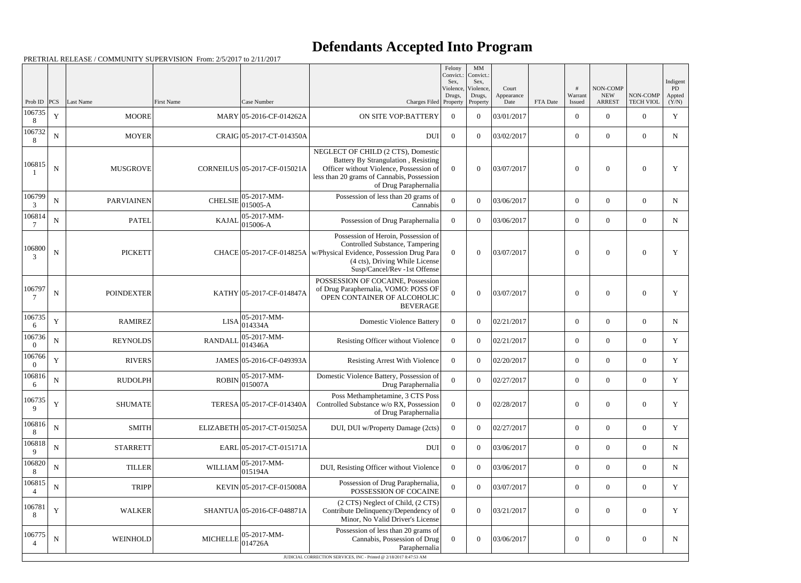## **Defendants Accepted Into Program**

| Prob ID<br>106735  | PCS <br>$\mathbf Y$ |                   |                   |                                          |                                                                                                                                                                                                                  |                     | Sex,                            |                             |          |                   |                                         |                              | Indigent              |
|--------------------|---------------------|-------------------|-------------------|------------------------------------------|------------------------------------------------------------------------------------------------------------------------------------------------------------------------------------------------------------------|---------------------|---------------------------------|-----------------------------|----------|-------------------|-----------------------------------------|------------------------------|-----------------------|
|                    |                     | Last Name         | <b>First Name</b> | Case Number                              | Charges Filed Property                                                                                                                                                                                           | Violence,<br>Drugs, | Violence,<br>Drugs,<br>Property | Court<br>Appearance<br>Date | FTA Date | Warrant<br>Issued | NON-COMP<br><b>NEW</b><br><b>ARREST</b> | NON-COMP<br><b>TECH VIOL</b> | PD<br>Appted<br>(Y/N) |
| 8                  |                     | <b>MOORE</b>      |                   | MARY 05-2016-CF-014262A                  | ON SITE VOP:BATTERY                                                                                                                                                                                              | $\overline{0}$      | $\theta$                        | 03/01/2017                  |          | $\overline{0}$    | $\overline{0}$                          | $\overline{0}$               | $\mathbf Y$           |
| 106732<br>8        | ${\bf N}$           | <b>MOYER</b>      |                   | CRAIG 05-2017-CT-014350A                 | <b>DUI</b>                                                                                                                                                                                                       | $\overline{0}$      | $\theta$                        | 03/02/2017                  |          | $\overline{0}$    | $\overline{0}$                          | $\overline{0}$               | ${\bf N}$             |
| 106815             | ${\bf N}$           | <b>MUSGROVE</b>   |                   | CORNEILUS 05-2017-CF-015021A             | NEGLECT OF CHILD (2 CTS), Domestic<br>Battery By Strangulation, Resisting<br>Officer without Violence, Possession of<br>less than 20 grams of Cannabis, Possession<br>of Drug Paraphernalia                      | $\theta$            | $\Omega$                        | 03/07/2017                  |          | $\theta$          | $\theta$                                | $\overline{0}$               | Y                     |
| 106799<br>3        | ${\bf N}$           | <b>PARVIAINEN</b> | <b>CHELSIE</b>    | $ 05-2017-MM-$<br>015005-A               | Possession of less than 20 grams of<br>Cannabis                                                                                                                                                                  | $\boldsymbol{0}$    | $\overline{0}$                  | 03/06/2017                  |          | $\overline{0}$    | $\overline{0}$                          | $\overline{0}$               | $\mathbf N$           |
| 106814             | $\mathbf N$         | <b>PATEL</b>      | <b>KAJAL</b>      | 05-2017-MM-<br>$ 015006 - A$             | Possession of Drug Paraphernalia                                                                                                                                                                                 | $\overline{0}$      | $\theta$                        | 03/06/2017                  |          | $\overline{0}$    | $\overline{0}$                          | $\overline{0}$               | $\mathbf N$           |
| 106800<br>3        | $\mathbf N$         | <b>PICKETT</b>    |                   |                                          | Possession of Heroin, Possession of<br>Controlled Substance, Tampering<br>CHACE 05-2017-CF-014825A   w/Physical Evidence, Possession Drug Para<br>(4 cts), Driving While License<br>Susp/Cancel/Rev -1st Offense | $\overline{0}$      | $\Omega$                        | 03/07/2017                  |          | $\overline{0}$    | $\theta$                                | $\theta$                     | Y                     |
| 106797             | $\mathbf N$         | <b>POINDEXTER</b> |                   | KATHY 05-2017-CF-014847A                 | POSSESSION OF COCAINE, Possession<br>of Drug Paraphernalia, VOMO: POSS OF<br>OPEN CONTAINER OF ALCOHOLIC<br><b>BEVERAGE</b>                                                                                      | $\Omega$            | $\Omega$                        | 03/07/2017                  |          | $\theta$          | $\theta$                                | $\boldsymbol{0}$             | Y                     |
| 106735<br>6        | $\mathbf Y$         | <b>RAMIREZ</b>    |                   | $ 05-2017-MM-$<br>$LISA _{014334A}^{00}$ | <b>Domestic Violence Battery</b>                                                                                                                                                                                 | $\overline{0}$      | $\overline{0}$                  | 02/21/2017                  |          | $\overline{0}$    | $\overline{0}$                          | $\mathbf{0}$                 | $\mathbf N$           |
| 106736<br>$\theta$ | ${\bf N}$           | <b>REYNOLDS</b>   | <b>RANDALL</b>    | $ 05-2017-MM-$<br> 014346A               | Resisting Officer without Violence                                                                                                                                                                               | $\overline{0}$      | $\Omega$                        | 02/21/2017                  |          | $\overline{0}$    | $\mathbf{0}$                            | $\overline{0}$               | Y                     |
| 106766<br>$\theta$ | $\mathbf Y$         | <b>RIVERS</b>     |                   | JAMES 05-2016-CF-049393A                 | <b>Resisting Arrest With Violence</b>                                                                                                                                                                            | $\overline{0}$      | $\theta$                        | 02/20/2017                  |          | $\overline{0}$    | $\overline{0}$                          | $\overline{0}$               | Y                     |
| 106816<br>6        | $\mathbf N$         | <b>RUDOLPH</b>    | <b>ROBIN</b>      | 05-2017-MM-<br> 015007A                  | Domestic Violence Battery, Possession of<br>Drug Paraphernalia                                                                                                                                                   | $\boldsymbol{0}$    | $\overline{0}$                  | 02/27/2017                  |          | $\overline{0}$    | $\overline{0}$                          | $\overline{0}$               | Y                     |
| 106735<br>9        | Y                   | <b>SHUMATE</b>    |                   | TERESA 05-2017-CF-014340A                | Poss Methamphetamine, 3 CTS Poss<br>Controlled Substance w/o RX, Possession<br>of Drug Paraphernalia                                                                                                             | $\theta$            | $\overline{0}$                  | 02/28/2017                  |          | $\boldsymbol{0}$  | $\boldsymbol{0}$                        | $\overline{0}$               | Y                     |
| 106816             | N                   | <b>SMITH</b>      |                   | ELIZABETH 05-2017-CT-015025A             | DUI, DUI w/Property Damage (2cts)                                                                                                                                                                                | $\overline{0}$      | $\theta$                        | 02/27/2017                  |          | $\overline{0}$    | $\overline{0}$                          | $\overline{0}$               | Y                     |
| 106818<br>9        | ${\bf N}$           | <b>STARRETT</b>   |                   | EARL 05-2017-CT-015171A                  | <b>DUI</b>                                                                                                                                                                                                       | $\mathbf{0}$        | $\theta$                        | 03/06/2017                  |          | $\overline{0}$    | $\boldsymbol{0}$                        | $\overline{0}$               | $\mathbf N$           |
| 106820<br>8        | $\mathbf N$         | <b>TILLER</b>     | <b>WILLIAM</b>    | $ 05-2017-MM-$<br>015194A                | DUI, Resisting Officer without Violence                                                                                                                                                                          | $\overline{0}$      | $\overline{0}$                  | 03/06/2017                  |          | $\overline{0}$    | $\overline{0}$                          | $\overline{0}$               | $\mathbf N$           |
| 106815             | $\mathbf N$         | <b>TRIPP</b>      |                   | KEVIN 05-2017-CF-015008A                 | Possession of Drug Paraphernalia,<br>POSSESSION OF COCAINE                                                                                                                                                       | $\theta$            | $\theta$                        | 03/07/2017                  |          | $\overline{0}$    | $\overline{0}$                          | $\overline{0}$               | Y                     |
| 106781<br>8        | $\mathbf Y$         | <b>WALKER</b>     |                   | SHANTUA 05-2016-CF-048871A               | (2 CTS) Neglect of Child, (2 CTS)<br>Contribute Delinquency/Dependency of<br>Minor, No Valid Driver's License                                                                                                    | $\overline{0}$      | $\theta$                        | 03/21/2017                  |          | $\boldsymbol{0}$  | $\boldsymbol{0}$                        | $\boldsymbol{0}$             | Y                     |
| 106775             | $\mathbf N$         | WEINHOLD          | <b>MICHELLE</b>   | $ 05-2017-MM-$<br>014726A                | Possession of less than 20 grams of<br>Cannabis, Possession of Drug<br>Paraphernalia<br>JUDICIAL CORRECTION SERVICES, INC - Printed @ 2/18/2017 8:47:53 AM                                                       | $\overline{0}$      | $\theta$                        | 03/06/2017                  |          | $\boldsymbol{0}$  | $\boldsymbol{0}$                        | $\boldsymbol{0}$             | $\mathbf N$           |